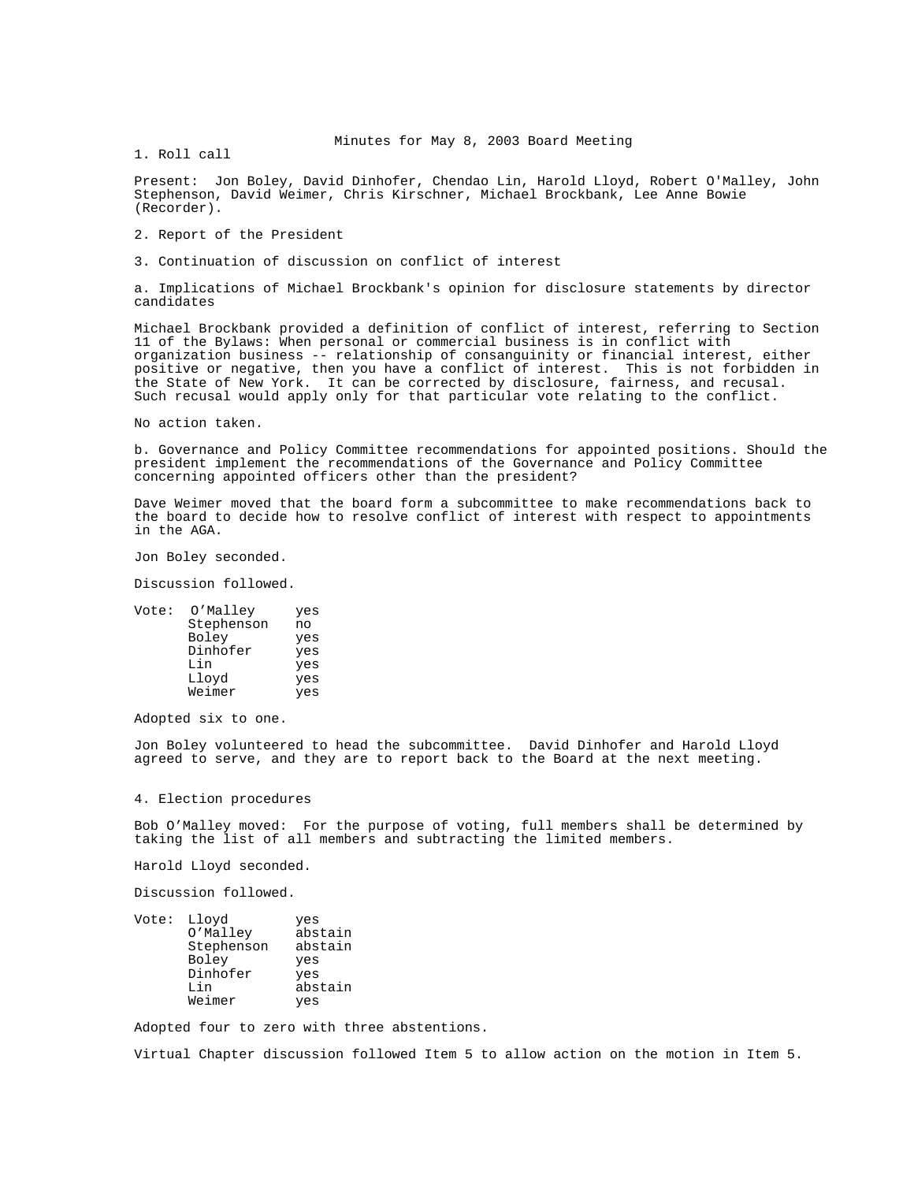Minutes for May 8, 2003 Board Meeting

1. Roll call

Present: Jon Boley, David Dinhofer, Chendao Lin, Harold Lloyd, Robert O'Malley, John Stephenson, David Weimer, Chris Kirschner, Michael Brockbank, Lee Anne Bowie (Recorder).

2. Report of the President

3. Continuation of discussion on conflict of interest

a. Implications of Michael Brockbank's opinion for disclosure statements by director candidates

Michael Brockbank provided a definition of conflict of interest, referring to Section 11 of the Bylaws: When personal or commercial business is in conflict with organization business -- relationship of consanguinity or financial interest, either positive or negative, then you have a conflict of interest. This is not forbidden in the State of New York. It can be corrected by disclosure, fairness, and recusal. Such recusal would apply only for that particular vote relating to the conflict.

No action taken.

b. Governance and Policy Committee recommendations for appointed positions. Should the president implement the recommendations of the Governance and Policy Committee concerning appointed officers other than the president?

Dave Weimer moved that the board form a subcommittee to make recommendations back to the board to decide how to resolve conflict of interest with respect to appointments in the AGA.

Jon Boley seconded.

Discussion followed.

| Vote: | O'Malley   | yes |
|-------|------------|-----|
|       | Stephenson | no  |
|       | Boley      | yes |
|       | Dinhofer   | yes |
|       | Lin        | yes |
|       | Lloyd      | yes |
|       | Weimer     | yes |

Adopted six to one.

Jon Boley volunteered to head the subcommittee. David Dinhofer and Harold Lloyd agreed to serve, and they are to report back to the Board at the next meeting.

4. Election procedures

Bob O'Malley moved: For the purpose of voting, full members shall be determined by taking the list of all members and subtracting the limited members.

Harold Lloyd seconded.

Discussion followed.

| Vote: | Lloyd      | yes     |
|-------|------------|---------|
|       | O'Malley   | abstain |
|       | Stephenson | abstain |
|       | Boley      | yes     |
|       | Dinhofer   | yes     |
|       | Lin        | abstain |
|       | Weimer     | yes     |
|       |            |         |

Adopted four to zero with three abstentions.

Virtual Chapter discussion followed Item 5 to allow action on the motion in Item 5.